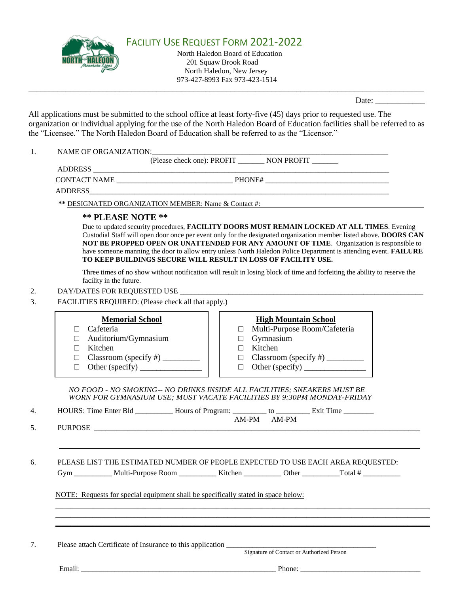

North Haledon Board of Education 201 Squaw Brook Road North Haledon, New Jersey 973-427-8993 Fax 973-423-1514

\_\_\_\_\_\_\_\_\_\_\_\_\_\_\_\_\_\_\_\_\_\_\_\_\_\_\_\_\_\_\_\_\_\_\_\_\_\_\_\_\_\_\_\_\_\_\_\_\_\_\_\_\_\_\_\_\_\_\_\_\_\_\_\_\_\_\_\_\_\_\_\_\_\_\_\_\_\_\_\_\_\_\_\_\_\_\_\_\_\_\_\_\_\_\_\_

Date:

All applications must be submitted to the school office at least forty-five (45) days prior to requested use. The organization or individual applying for the use of the North Haledon Board of Education facilities shall be referred to as the "Licensee." The North Haledon Board of Education shall be referred to as the "Licensor."

| <b>NAME OF ORGANIZATION:</b> |
|------------------------------|
|                              |

|                     | (Please check one): PROFIT<br><b>NON PROFIT</b> |
|---------------------|-------------------------------------------------|
| ADDRESS             |                                                 |
| <b>CONTACT NAME</b> | PHONE#                                          |
| <b>ADDRESS</b>      |                                                 |

**\*\*** DESIGNATED ORGANIZATION MEMBER: Name & Contact #:

### **\*\* PLEASE NOTE \*\***

Due to updated security procedures, **FACILITY DOORS MUST REMAIN LOCKED AT ALL TIMES**. Evening Custodial Staff will open door once per event only for the designated organization member listed above. **DOORS CAN NOT BE PROPPED OPEN OR UNATTENDED FOR ANY AMOUNT OF TIME**. Organization is responsible to have someone manning the door to allow entry unless North Haledon Police Department is attending event. **FAILURE TO KEEP BUILDINGS SECURE WILL RESULT IN LOSS OF FACILITY USE.**

Three times of no show without notification will result in losing block of time and forfeiting the ability to reserve the facility in the future.

#### 2. DAY/DATES FOR REQUESTED USE

3. FACILITIES REQUIRED: (Please check all that apply.)

| <b>Memorial School</b><br><b>High Mountain School</b><br>Cafeteria<br>Multi-Purpose Room/Cafeteria<br>П<br>П<br>Auditorium/Gymnasium<br>Gymnasium<br>$\Box$<br>$\Box$<br>Kitchen<br>$\Box$ Kitchen<br>$\Box$<br>Classroom (specify #) $\_\_$<br>Classroom (specify #) $\_\_\_\_\_\_\_\_\_\_\_\_\_\_\_\_\_\_\_\_\_\_\_\_\_\_\_\_$<br>$\Box$<br>$\Box$<br>Other (specify) $\frac{1}{\sqrt{1-\frac{1}{2}}}\left  \frac{1}{\sqrt{1-\frac{1}{2}}}\right $<br>$\Box$<br>NO FOOD - NO SMOKING-- NO DRINKS INSIDE ALL FACILITIES; SNEAKERS MUST BE<br>WORN FOR GYMNASIUM USE; MUST VACATE FACILITIES BY 9:30PM MONDAY-FRIDAY<br>HOURS: Time Enter Bld __________ Hours of Program: _________ to _________ Exit Time ________<br>$AM-PM$ $AM-PM$<br>PLEASE LIST THE ESTIMATED NUMBER OF PEOPLE EXPECTED TO USE EACH AREA REQUESTED:<br>NOTE: Requests for special equipment shall be specifically stated in space below: |        |                                           |
|-----------------------------------------------------------------------------------------------------------------------------------------------------------------------------------------------------------------------------------------------------------------------------------------------------------------------------------------------------------------------------------------------------------------------------------------------------------------------------------------------------------------------------------------------------------------------------------------------------------------------------------------------------------------------------------------------------------------------------------------------------------------------------------------------------------------------------------------------------------------------------------------------------------------|--------|-------------------------------------------|
|                                                                                                                                                                                                                                                                                                                                                                                                                                                                                                                                                                                                                                                                                                                                                                                                                                                                                                                 |        |                                           |
|                                                                                                                                                                                                                                                                                                                                                                                                                                                                                                                                                                                                                                                                                                                                                                                                                                                                                                                 |        |                                           |
|                                                                                                                                                                                                                                                                                                                                                                                                                                                                                                                                                                                                                                                                                                                                                                                                                                                                                                                 |        |                                           |
|                                                                                                                                                                                                                                                                                                                                                                                                                                                                                                                                                                                                                                                                                                                                                                                                                                                                                                                 |        |                                           |
|                                                                                                                                                                                                                                                                                                                                                                                                                                                                                                                                                                                                                                                                                                                                                                                                                                                                                                                 |        |                                           |
|                                                                                                                                                                                                                                                                                                                                                                                                                                                                                                                                                                                                                                                                                                                                                                                                                                                                                                                 |        |                                           |
|                                                                                                                                                                                                                                                                                                                                                                                                                                                                                                                                                                                                                                                                                                                                                                                                                                                                                                                 |        |                                           |
|                                                                                                                                                                                                                                                                                                                                                                                                                                                                                                                                                                                                                                                                                                                                                                                                                                                                                                                 |        | Signature of Contact or Authorized Person |
| Please attach Certificate of Insurance to this application _____________                                                                                                                                                                                                                                                                                                                                                                                                                                                                                                                                                                                                                                                                                                                                                                                                                                        | Email: | Phone: $\Box$                             |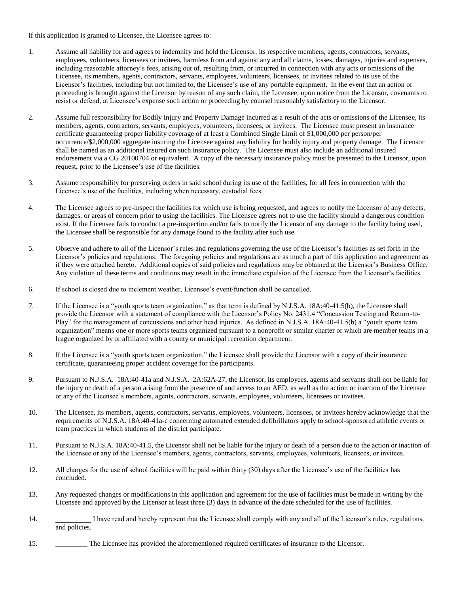If this application is granted to Licensee, the Licensee agrees to:

- 1. Assume all liability for and agrees to indemnify and hold the Licensor, its respective members, agents, contractors, servants, employees, volunteers, licensees or invitees, harmless from and against any and all claims, losses, damages, injuries and expenses, including reasonable attorney's fees, arising out of, resulting from, or incurred in connection with any acts or omissions of the Licensee, its members, agents, contractors, servants, employees, volunteers, licensees, or invitees related to its use of the Licensor's facilities, including but not limited to, the Licensee's use of any portable equipment. In the event that an action or proceeding is brought against the Licensor by reason of any such claim, the Licensee, upon notice from the Licensor, covenants to resist or defend, at Licensee's expense such action or proceeding by counsel reasonably satisfactory to the Licensor.
- 2. Assume full responsibility for Bodily Injury and Property Damage incurred as a result of the acts or omissions of the Licensee, its members, agents, contractors, servants, employees, volunteers, licensees, or invitees. The Licensee must present an insurance certificate guaranteeing proper liability coverage of at least a Combined Single Limit of \$1,000,000 per person/per occurrence/\$2,000,000 aggregate insuring the Licensee against any liability for bodily injury and property damage. The Licensor shall be named as an additional insured on such insurance policy. The Licensee must also include an additional insured endorsement via a CG 20100704 or equivalent. A copy of the necessary insurance policy must be presented to the Licensor, upon request, prior to the Licensee's use of the facilities.
- 3. Assume responsibility for preserving orders in said school during its use of the facilities, for all fees in connection with the Licensee's use of the facilities, including when necessary, custodial fees.
- 4. The Licensee agrees to pre-inspect the facilities for which use is being requested, and agrees to notify the Licensor of any defects, damages, or areas of concern prior to using the facilities. The Licensee agrees not to use the facility should a dangerous condition exist. If the Licensee fails to conduct a pre-inspection and/or fails to notify the Licensor of any damage to the facility being used, the Licensee shall be responsible for any damage found to the facility after such use.
- 5. Observe and adhere to all of the Licensor's rules and regulations governing the use of the Licensor's facilities as set forth in the Licensor's policies and regulations. The foregoing policies and regulations are as much a part of this application and agreement as if they were attached hereto. Additional copies of said policies and regulations may be obtained at the Licensor's Business Office. Any violation of these terms and conditions may result in the immediate expulsion of the Licensee from the Licensor's facilities.
- 6. If school is closed due to inclement weather, Licensee's event/function shall be cancelled.
- 7. If the Licensee is a "youth sports team organization," as that term is defined by N.J.S.A. 18A:40-41.5(b), the Licensee shall provide the Licensor with a statement of compliance with the Licensor's Policy No. 2431.4 "Concussion Testing and Return-to-Play" for the management of concussions and other head injuries. As defined in N.J.S.A. 18A:40-41.5(b) a "youth sports team organization" means one or more sports teams organized pursuant to a nonprofit or similar charter or which are member teams in a league organized by or affiliated with a county or municipal recreation department.
- 8. If the Licensee is a "youth sports team organization," the Licensee shall provide the Licensor with a copy of their insurance certificate, guaranteeing proper accident coverage for the participants.
- 9. Pursuant to N.J.S.A. 18A:40-41a and N.J.S.A. 2A:62A-27, the Licensor, its employees, agents and servants shall not be liable for the injury or death of a person arising from the presence of and access to an AED, as well as the action or inaction of the Licensee or any of the Licensee's members, agents, contractors, servants, employees, volunteers, licensees or invitees.
- 10. The Licensee, its members, agents, contractors, servants, employees, volunteers, licensees, or invitees hereby acknowledge that the requirements of N.J.S.A. 18A:40-41a-c concerning automated extended defibrillators apply to school-sponsored athletic events or team practices in which students of the district participate.
- 11. Pursuant to N.J.S.A. 18A:40-41.5, the Licensor shall not be liable for the injury or death of a person due to the action or inaction of the Licensee or any of the Licensee's members, agents, contractors, servants, employees, volunteers, licensees, or invitees.
- 12. All charges for the use of school facilities will be paid within thirty (30) days after the Licensee's use of the facilities has concluded.
- 13. Any requested changes or modifications in this application and agreement for the use of facilities must be made in writing by the Licensee and approved by the Licensor at least three (3) days in advance of the date scheduled for the use of facilities.
- 14. \_\_\_\_\_\_\_\_\_\_ I have read and hereby represent that the Licensee shall comply with any and all of the Licensor's rules, regulations, and policies.
- 15. \_\_\_\_\_\_\_\_\_ The Licensee has provided the aforementioned required certificates of insurance to the Licensor.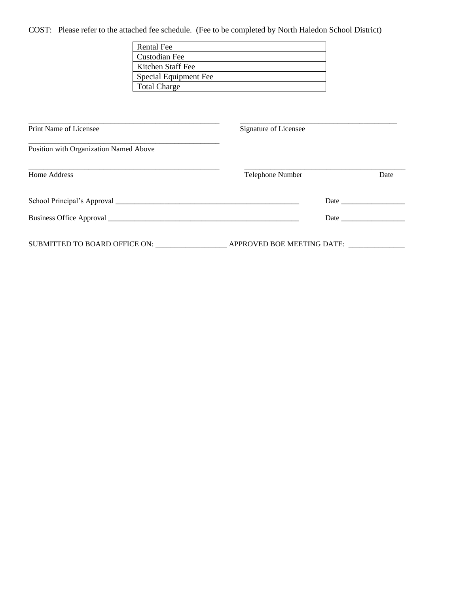COST: Please refer to the attached fee schedule. (Fee to be completed by North Haledon School District)

| <b>Rental Fee</b>     |  |
|-----------------------|--|
| Custodian Fee         |  |
| Kitchen Staff Fee     |  |
| Special Equipment Fee |  |
| <b>Total Charge</b>   |  |

| Print Name of Licensee                    | Signature of Licensee                  |                      |
|-------------------------------------------|----------------------------------------|----------------------|
| Position with Organization Named Above    |                                        |                      |
| Home Address                              | Telephone Number                       | Date                 |
|                                           |                                        | Date $\qquad \qquad$ |
|                                           |                                        |                      |
| SUBMITTED TO BOARD OFFICE ON: ___________ | APPROVED BOE MEETING DATE: ___________ |                      |